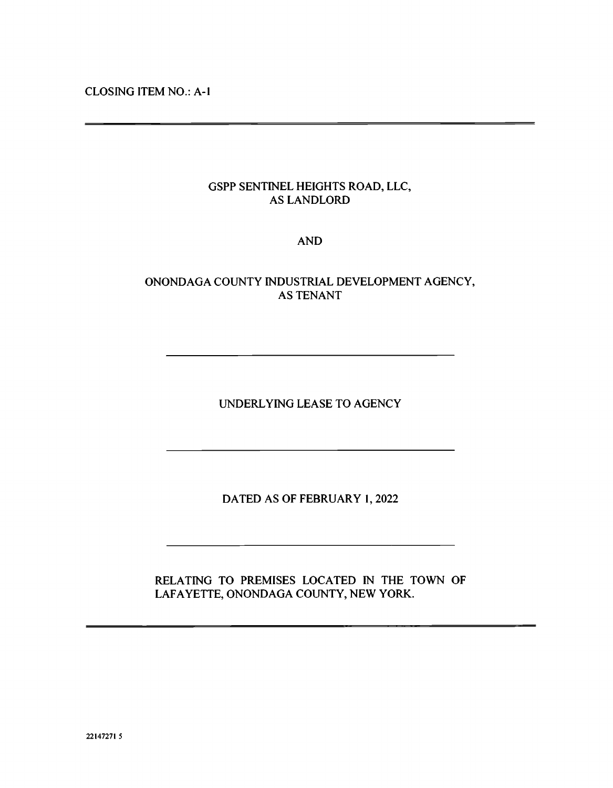CLOSING ITEM NO.: A-i

## GSPP SENTINEL HEIGHTS ROAD, LLC, AS LANDLORD

### AND

## ONONDAGA COUNTY INDUSTRIAL DEVELOPMENT AGENCY, AS TENANT

UNDERLYING LEASE TO AGENCY

DATED AS OF FEBRUARY 1, 2022

RELATING TO PREMISES LOCATED IN THE TOWN OF LAFAYETTE, ONONDAGA COUNTY, NEW YORK.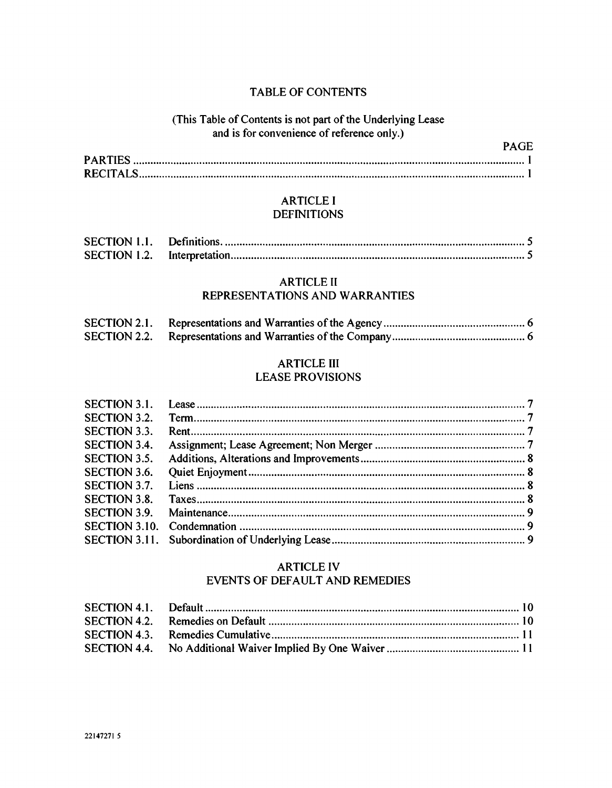### TABLE OF CONTENTS

### (This Table of Contents is not part of the Underlying Lease and is for convenience of reference only.)

| <b>PAGE</b> |  |
|-------------|--|
|             |  |
|             |  |

### ARTICLE I **DEFINITIONS**

### ARTICLE It REPRESENTATIONS AND WARRANTIES

| <b>SECTION 2.1.</b> |  |
|---------------------|--|
|                     |  |

# ARTICLE Ill

### LEASE PROVISIONS

| <b>SECTION 3.1.</b> |  |
|---------------------|--|
| <b>SECTION 3.2.</b> |  |
| <b>SECTION 3.3.</b> |  |
| <b>SECTION 3.4.</b> |  |
| <b>SECTION 3.5.</b> |  |
| <b>SECTION 3.6.</b> |  |
| SECTION 3.7.        |  |
| <b>SECTION 3.8.</b> |  |
| <b>SECTION 3.9.</b> |  |
|                     |  |
|                     |  |

### ARTICLE IV EVENTS OF DEFAULT AND REMEDIES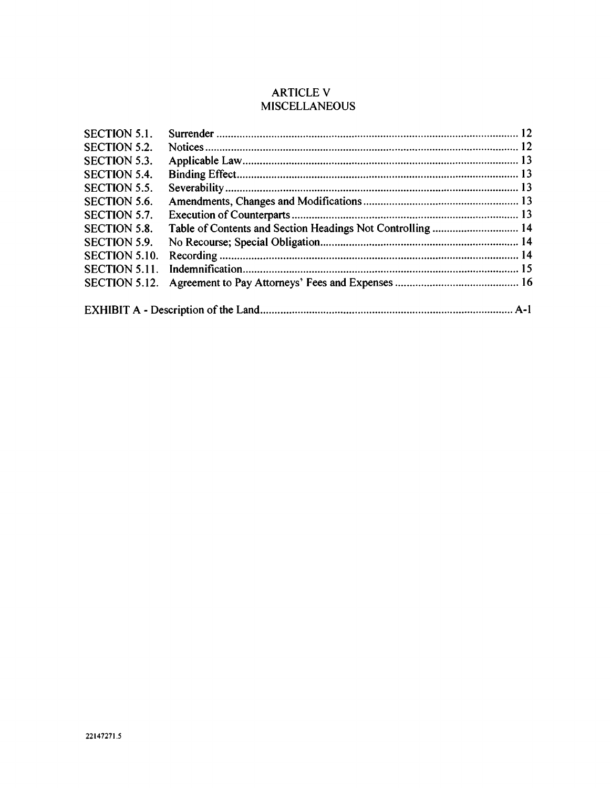# ARTICLE V **MISCELLANEOUS**

| <b>SECTION 5.1.</b>  |  |
|----------------------|--|
| <b>SECTION 5.2.</b>  |  |
| <b>SECTION 5.3.</b>  |  |
| <b>SECTION 5.4.</b>  |  |
| SECTION 5.5.         |  |
| <b>SECTION 5.6.</b>  |  |
| SECTION 5.7.         |  |
| <b>SECTION 5.8.</b>  |  |
| <b>SECTION 5.9.</b>  |  |
| <b>SECTION 5.10.</b> |  |
| SECTION 5.11.        |  |
| SECTION 5.12.        |  |
|                      |  |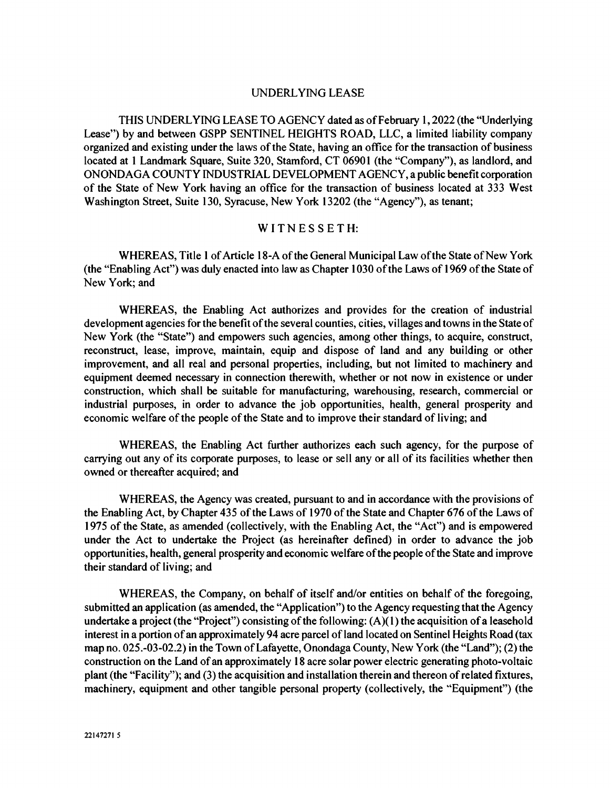#### UNDERLYING LEASE

THIS UNDERLYING LEASE TO AGENCY dated as of February 1, 2022 (the "Underlying Lease") by and between GSPP SENTINEL HEIGHTS ROAD, LLC, a limited liability company organized and existing under the laws of the State, having an office for the transaction of business located at 1 Landmark Square, Suite 320, Stamford, CT 06901 (the "Company"), as landlord, and ONONDAGA COUNTY INDUSTRIAL DEVELOPMENT AGENCY, a public benefit corporation of the State of New York having an office for the transaction of business located at 333 West Washington Street, Suite 130, Syracuse, New York 13202 (the "Agency"), as tenant;

### WITNESSETH:

WHEREAS, Title 1 of Article 18-A of the General Municipal Law of the State of New York (the "Enabling Act") was duly enacted into law as Chapter 1030 of the Laws of 1969 of the State of New York; and

WHEREAS, the Enabling Act authorizes and provides for the creation of industrial development agencies for the benefit of the several counties, cities, villages and towns in the State of New York (the "State") and empowers such agencies, among other things, to acquire, construct, reconstruct, lease, improve, maintain, equip and dispose of land and any building or other improvement, and all real and personal properties, including, but not limited to machinery and equipment deemed necessary in connection therewith, whether or not now in existence or under construction, which shall be suitable for manufacturing, warehousing, research, commercial or industrial purposes, in order to advance the job opportunities, health, general prosperity and economic welfare of the people of the State and to improve their standard of living; and

WHEREAS, the Enabling Act further authorizes each such agency, for the purpose of carrying out any of its corporate purposes, to lease or sell any or all of its facilities whether then owned or thereafter acquired; and

WHEREAS, the Agency was created, pursuant to and in accordance with the provisions of the Enabling Act, by Chapter 435 of the Laws of 1970 of the State and Chapter 676 of the Laws of 1975 of the State, as amended (collectively, with the Enabling Act, the "Act") and is empowered under the Act to undertake the Project (as hereinafter defined) in order to advance the job opportunities, health, general prosperity and economic welfare of the people of the State and improve their standard of living; and

WHEREAS, the Company, on behalf of itself and/or entities on behalf of the foregoing, submitted an application (as amended, the "Application") to the Agency requesting that the Agency undertake a project (the "Project") consisting of the following: (A)( 1) the acquisition of a leasehold interest in a portion of an approximately 94 acre parcel of land located on Sentinel Heights Road (tax map no. 025.-03-02.2) in the Town of Lafayette, Onondaga County, New York (the "Land"); (2) the construction on the Land of an approximately 18 acre solar power electric generating photo-voltaic plant (the "Facility"); and (3) the acquisition and installation therein and thereon of related fixtures, machinery, equipment and other tangible personal property (collectively, the "Equipment") (the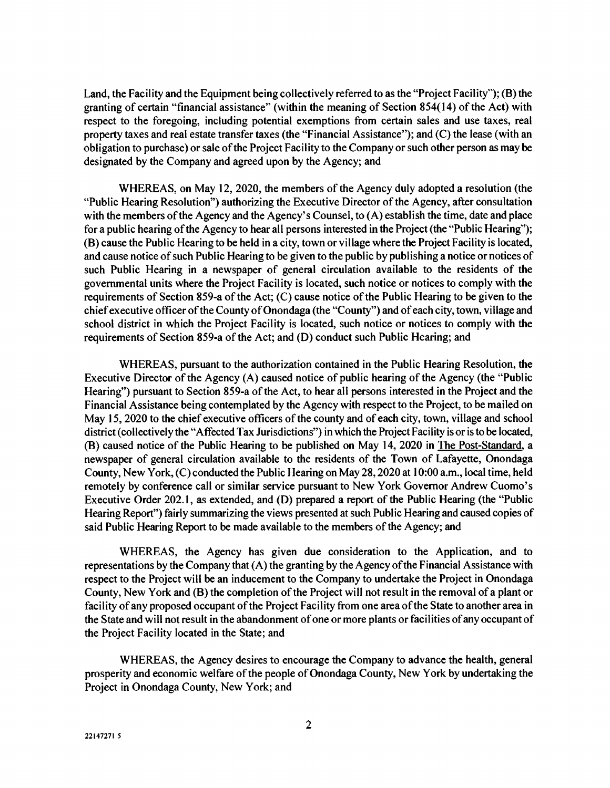Land, the Facility and the Equipment being collectively referred to as the "Project Facility"); (B) the granting of certain "financial assistance" (within the meaning of Section 854(14) of the Act) with respect to the foregoing, including potential exemptions from certain sales and use taxes, real property taxes and real estate transfer taxes (the "Financial Assistance"); and (C) the lease (with an obligation to purchase) or sale of the Project Facility to the Company or such other person as may be designated by the Company and agreed upon by the Agency; and

WHEREAS, on May 12, 2020, the members of the Agency duly adopted a resolution (the "Public Hearing Resolution") authorizing the Executive Director of the Agency, after consultation with the members of the Agency and the Agency's Counsel, to (A) establish the time, date and place for a public hearing of the Agency to hear all persons interested in the Project (the "Public Hearing"); (B) cause the Public Hearing to be held in a city, town or village where the Project Facility is located, and cause notice of such Public Hearing to be given to the public by publishing a notice or notices of such Public Hearing in a newspaper of general circulation available to the residents of the governmental units where the Project Facility is located, such notice or notices to comply with the requirements of Section 859-a of the Act; (C) cause notice of the Public Hearing to be given to the chief executive officer of the County of Onondaga (the "County") and of each city, town, village and school district in which the Project Facility is located, such notice or notices to comply with the requirements of Section 859-a of the Act; and (D) conduct such Public Hearing; and

WHEREAS, pursuant to the authorization contained in the Public Hearing Resolution, the Executive Director of the Agency (A) caused notice of public hearing of the Agency (the "Public Hearing") pursuant to Section 859-a of the Act, to hear all persons interested in the Project and the Financial Assistance being contemplated by the Agency with respect to the Project, to be mailed on May 15, 2020 to the chief executive officers of the county and of each city, town, village and school district (collectively the "Affected Tax Jurisdictions") in which the Project Facility is or is to be located, (B) caused notice of the Public Hearing to be published on May 14, 2020 in The Post-Standard, a newspaper of general circulation available to the residents of the Town of Lafayette, Onondaga County, New York, (C) conducted the Public Hearing on May 28, 2020 at 10:00 a.m., local time, held remotely by conference call or similar service pursuant to New York Governor Andrew Cuomo's Executive Order 202.1, as extended, and (D) prepared a report of the Public Hearing (the "Public Hearing Report") fairly summarizing the views presented at such Public Hearing and caused copies of said Public Hearing Report to be made available to the members of the Agency; and

WHEREAS, the Agency has given due consideration to the Application, and to representations by the Company that (A) the granting by the Agency of the Financial Assistance with respect to the Project will be an inducement to the Company to undertake the Project in Onondaga County, New York and (B) the completion of the Project will not result in the removal of a plant or facility of any proposed occupant of the Project Facility from one area of the State to another area in the State and will not result in the abandonment of one or more plants or facilities of any occupant of the Project Facility located in the State; and

WHEREAS, the Agency desires to encourage the Company to advance the health, general prosperity and economic welfare of the people of Onondaga County, New York by undertaking the Project in Onondaga County, New York; and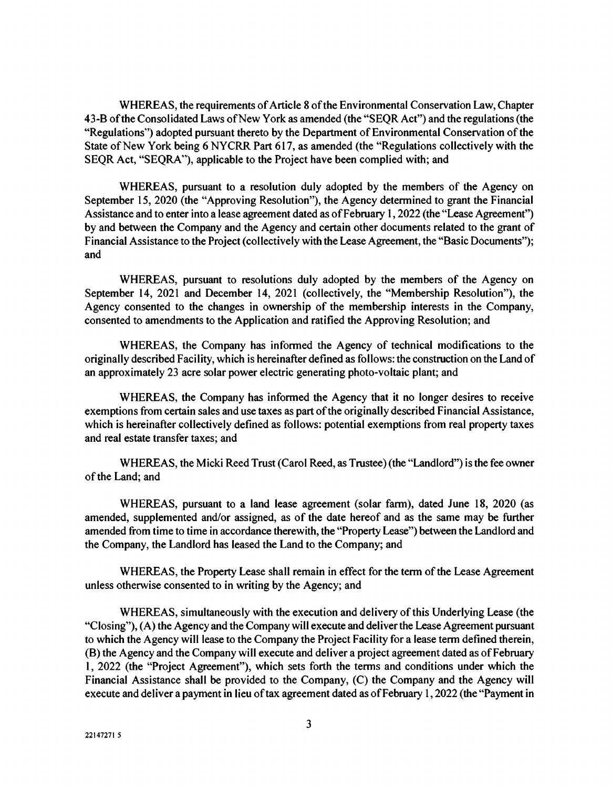WHEREAS, the requirements of Article 8 of the Environmental Conservation Law, Chapter 43-B of the Consolidated Laws of New York as amended (the "SEQR Act") and the regulations (the "Regulations") adopted pursuant thereto by the Department of Environmental Conservation of the State of New York being 6 NYCRR Part 617, as amended (the "Regulations collectively with the SEQR Act, "SEQRA"), applicable to the Project have been complied with; and

WHEREAS, pursuant to a resolution duly adopted by the members of the Agency on September 15, 2020 (the "Approving Resolution"), the Agency determined to grant the Financial Assistance and to enter into a lease agreement dated as of February 1, 2022 (the "Lease Agreement") by and between the Company and the Agency and certain other documents related to the grant of Financial Assistance to the Project (collectively with the Lease Agreement, the "Basic Documents"); and

WHEREAS, pursuant to resolutions duly adopted by the members of the Agency on September 14, 2021 and December 14, 2021 (collectively, the "Membership Resolution"), the Agency consented to the changes in ownership of the membership interests in the Company, consented to amendments to the Application and ratified the Approving Resolution; and

WHEREAS, the Company has informed the Agency of technical modifications to the originally described Facility, which is hereinafter defined as follows: the construction on the Land of an approximately 23 acre solar power electric generating photo-voltaic plant; and

WHEREAS, the Company has informed the Agency that it no longer desires to receive exemptions from certain sales and use taxes as part of the originally described Financial Assistance, which is hereinafter collectively defined as follows: potential exemptions from real property taxes and real estate transfer taxes; and

WHEREAS, the Micki Reed Trust (Carol Reed, as Trustee) (the "Landlord") is the fee owner of the Land; and

WHEREAS, pursuant to a land lease agreement (solar farm), dated June 18, 2020 (as amended, supplemented and/or assigned, as of the date hereof and as the same may be further amended from time to time in accordance therewith, the "Property Lease") between the Landlord and the Company, the Landlord has leased the Land to the Company; and

WHEREAS, the Property Lease shall remain in effect for the term of the Lease Agreement unless otherwise consented to in writing by the Agency; and

WHEREAS, simultaneously with the execution and delivery of this Underlying Lease (the "Closing"), (A) the Agency and the Company will execute and deliver the Lease Agreement pursuant to which the Agency will lease to the Company the Project Facility for a lease term defined therein, (B) the Agency and the Company will execute and deliver a project agreement dated as of February 1, 2022 (the "Project Agreement"), which sets forth the terms and conditions under which the Financial Assistance shall be provided to the Company, (C) the Company and the Agency will execute and deliver a payment in lieu of tax agreement dated as of February 1, 2022 (the "Payment in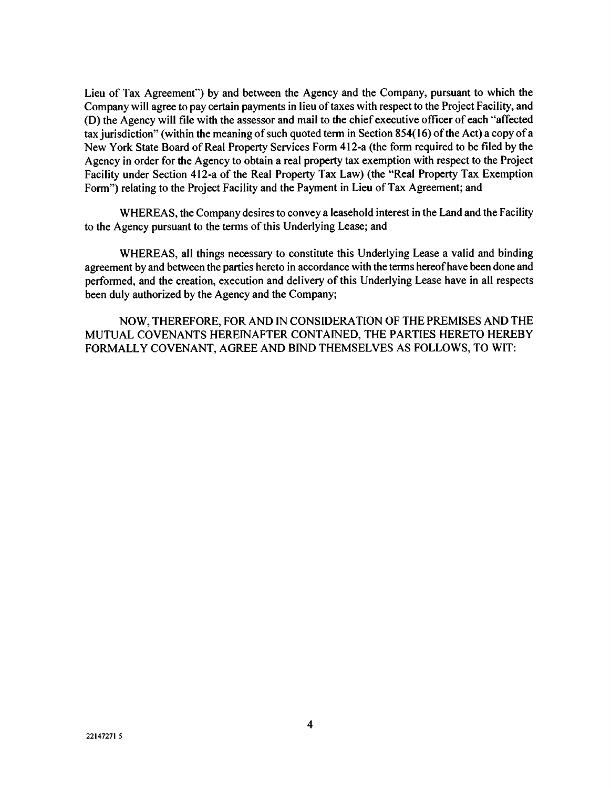Lieu of Tax Agreement") by and between the Agency and the Company, pursuant to which the Company will agree to pay certain payments in lieu of taxes with respect to the Project Facility, and (D) the Agency will file with the assessor and mail to the chief executive officer of each "affected tax jurisdiction" (within the meaning of such quoted term in Section 854(16) of the Act) a copy of a New York State Board of Real Property Services Form 412-a (the form required to be filed by the Agency in order for the Agency to obtain a real property tax exemption with respect to the Project Facility under Section 412-a of the Real Property Tax Law) (the "Real Property Tax Exemption Form") relating to the Project Facility and the Payment in Lieu of Tax Agreement; and

WHEREAS, the Company desires to convey a leasehold interest in the Land and the Facility to the Agency pursuant to the terms of this Underlying Lease; and

WHEREAS, all things necessary to constitute this Underlying Lease a valid and binding agreement by and between the parties hereto in accordance with the terms hereof have been done and performed, and the creation, execution and delivery of this Underlying Lease have in all respects been duly authorized by the Agency and the Company;

NOW, THEREFORE, FOR AND IN CONSIDERATION OF THE PREMISES AND THE MUTUAL COVENANTS HEREINAFTER CONTAINED, THE PARTIES HERETO HEREBY FORMALLY COVENANT, AGREE AND BIND THEMSELVES AS FOLLOWS, TO WIT: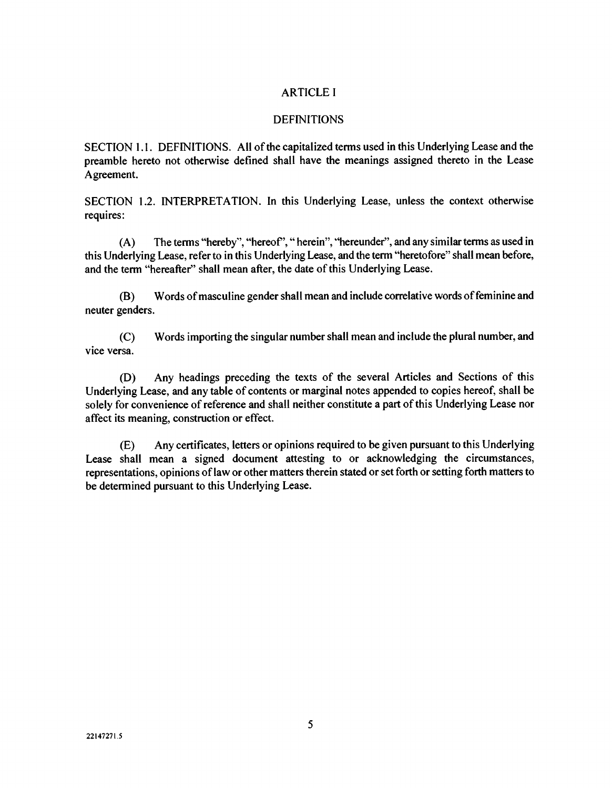### ARTICLE I

### **DEFINITIONS**

SECTION 1.1. DEFINITIONS. All of the capitalized terms used in this Underlying Lease and the preamble hereto not otherwise defined shall have the meanings assigned thereto in the Lease Agreement.

SECTION 1.2. INTERPRETATION. In this Underlying Lease, unless the context otherwise requires:

(A) The terms "hereby", "hereof'," herein", "hereunder", and any similar terms as used in this Underlying Lease, refer to in this Underlying Lease, and the term "heretofore" shall mean before, and the term "hereafter" shall mean after, the date of this Underlying Lease.

(B) Words of masculine gender shall mean and include correlative words of feminine and neuter genders.

(C) Words importing the singular number shall mean and include the plural number, and vice versa.

(D) Any headings preceding the texts of the several Articles and Sections of this Underlying Lease, and any table of contents or marginal notes appended to copies hereof, shall be solely for convenience of reference and shall neither constitute a part of this Underlying Lease nor affect its meaning, construction or effect.

(E) Any certificates, letters or opinions required to be given pursuant to this Underlying Lease shall mean a signed document attesting to or acknowledging the circumstances, representations, opinions of law or other matters therein stated or set forth or setting forth matters to be determined pursuant to this Underlying Lease.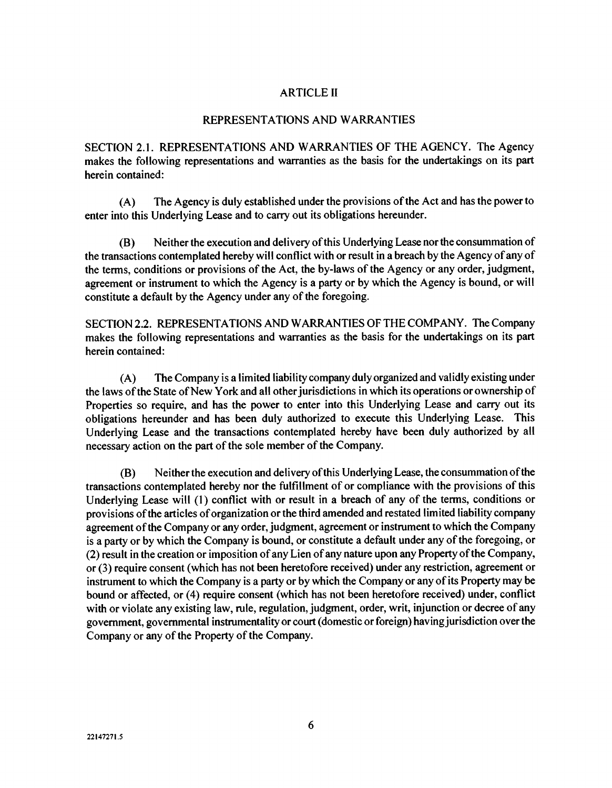### ARTICLE II

#### REPRESENTATIONS AND WARRANTIES

SECTION 2.1. REPRESENTATIONS AND WARRANTIES OF THE AGENCY. The Agency makes the following representations and warranties as the basis for the undertakings on its part herein contained:

(A) The Agency is duly established under the provisions of the Act and has the power to enter into this Underlying Lease and to carry out its obligations hereunder.

(B) Neither the execution and delivery of this Underlying Lease nor the consummation of the transactions contemplated hereby will conflict with or result in a breach by the Agency of any of the terms, conditions or provisions of the Act, the by-laws of the Agency or any order, judgment, agreement or instrument to which the Agency is a party or by which the Agency is bound, or will constitute a default by the Agency under any of the foregoing.

SECTION 2.2. REPRESENTATIONS AND WARRANTIES OF THE COMPANY. The Company makes the following representations and warranties as the basis for the undertakings on its part herein contained:

(A) The Company is a limited liability company duly organized and validly existing under the laws of the State of New York and all other jurisdictions in which its operations or ownership of Properties so require, and has the power to enter into this Underlying Lease and carry out its obligations hereunder and has been duly authorized to execute this Underlying Lease. This Underlying Lease and the transactions contemplated hereby have been duly authorized by all necessary action on the part of the sole member of the Company.

(B) Neither the execution and delivery of this Underlying Lease, the consummation of the transactions contemplated hereby nor the fulfillment of or compliance with the provisions of this Underlying Lease will (1) conflict with or result in a breach of any of the terms, conditions or provisions of the articles of organization or the third amended and restated limited liability company agreement of the Company or any order, judgment, agreement or instrument to which the Company is a party or by which the Company is bound, or constitute a default under any of the foregoing, or (2) result in the creation or imposition of any Lien of any nature upon any Property of the Company, or (3) require consent (which has not been heretofore received) under any restriction, agreement or instrument to which the Company is a party or by which the Company or any of its Property may be bound or affected, or (4) require consent (which has not been heretofore received) under, conflict with or violate any existing law, rule, regulation, judgment, order, writ, injunction or decree of any government, governmental instrumentality or court (domestic or foreign) having jurisdiction over the Company or any of the Property of the Company.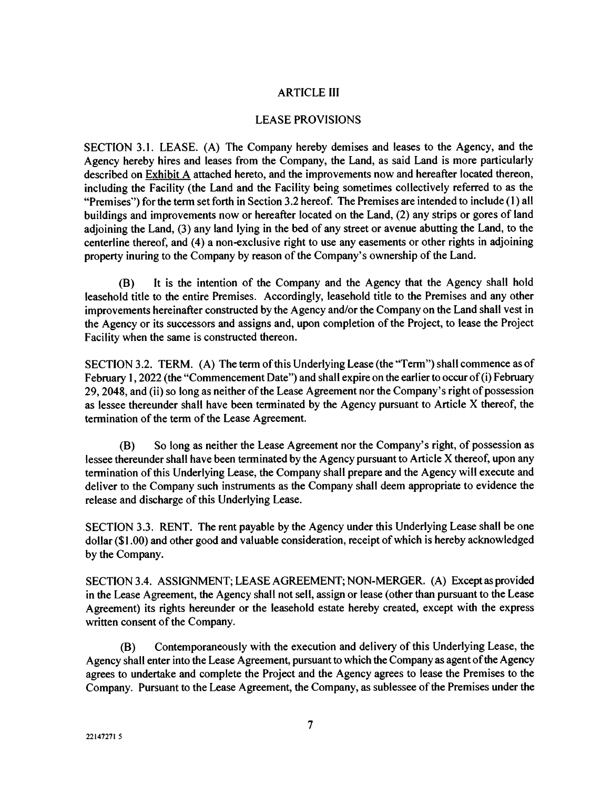### ARTICLE III

#### LEASE PROVISIONS

SECTION 3.1. LEASE. (A) The Company hereby demises and leases to the Agency, and the Agency hereby hires and leases from the Company, the Land, as said Land is more particularly described on  $Exhibit A$  attached hereto, and the improvements now and hereafter located thereon, including the Facility (the Land and the Facility being sometimes collectively referred to as the "Premises") for the term set forth in Section 3.2 hereof. The Premises are intended to include (1) all buildings and improvements now or hereafter located on the Land, (2) any strips or gores of land adjoining the Land, (3) any land lying in the bed of any street or avenue abutting the Land, to the centerline thereof, and (4) a non-exclusive right to use any easements or other rights in adjoining property inuring to the Company by reason of the Company's ownership of the Land.

(B) It is the intention of the Company and the Agency that the Agency shall hold leasehold title to the entire Premises. Accordingly, leasehold title to the Premises and any other improvements hereinafter constructed by the Agency and/or the Company on the Land shall vest in the Agency or its successors and assigns and, upon completion of the Project, to lease the Project Facility when the same is constructed thereon.

SECTION 3.2. TERM. (A) The term of this Underlying Lease (the "Term") shall commence as of February 1, 2022 (the "Commencement Date") and shall expire on the earlier to occur of  $(i)$  February 29, 2048, and (ii) so long as neither of the Lease Agreement nor the Company's right of possession as lessee thereunder shall have been terminated by the Agency pursuant to Article X thereof, the termination of the term of the Lease Agreement.

(B) So long as neither the Lease Agreement nor the Company's right, of possession as lessee thereunder shall have been terminated by the Agency pursuant to Article X thereof, upon any termination of this Underlying Lease, the Company shall prepare and the Agency will execute and deliver to the Company such instruments as the Company shall deem appropriate to evidence the release and discharge of this Underlying Lease.

SECTION 3.3. RENT. The rent payable by the Agency under this Underlying Lease shall be one dollar (\$1.00) and other good and valuable consideration, receipt of which is hereby acknowledged by the Company.

SECTION 3.4. ASSIGNMENT; LEASE AGREEMENT; NON-MERGER. (A) Except as provided in the Lease Agreement, the Agency shall not sell, assign or lease (other than pursuant to the Lease Agreement) its rights hereunder or the leasehold estate hereby created, except with the express written consent of the Company.

(B) Contemporaneously with the execution and delivery of this Underlying Lease, the Agency shall enter into the Lease Agreement, pursuant to which the Company as agent of the Agency agrees to undertake and complete the Project and the Agency agrees to lease the Premises to the Company. Pursuant to the Lease Agreement, the Company, as sublessee of the Premises under the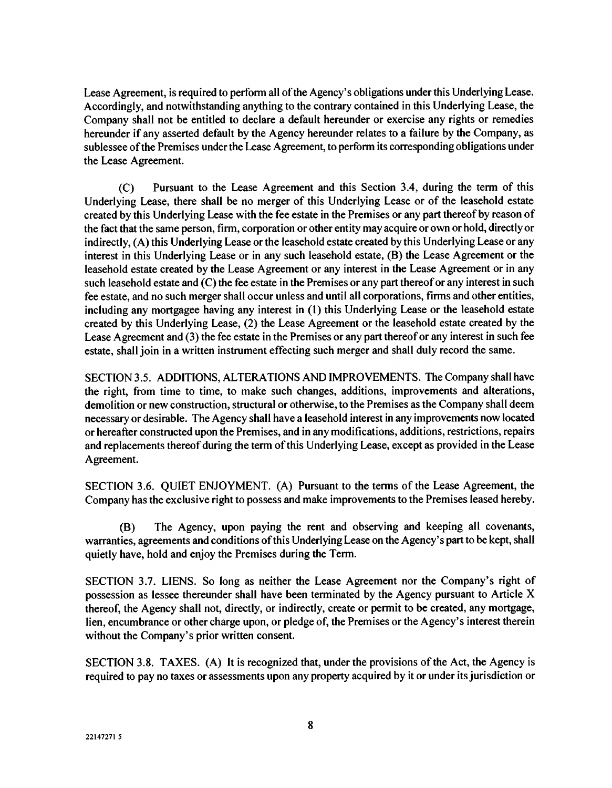Lease Agreement, is required to perform all of the Agency's obligations under this Underlying Lease. Accordingly, and notwithstanding anything to the contrary contained in this Underlying Lease, the Company shall not be entitled to declare a default hereunder or exercise any rights or remedies hereunder if any asserted default by the Agency hereunder relates to a failure by the Company, as sublessee of the Premises under the Lease Agreement, to perform its corresponding obligations under the Lease Agreement.

(C) Pursuant to the Lease Agreement and this Section 3.4, during the term of this Underlying Lease, there shall be no merger of this Underlying Lease or of the leasehold estate created by this Underlying Lease with the fee estate in the Premises or any part thereof by reason of the fact that the same person, firm, corporation or other entity may acquire or own or hold, directly or indirectly, (A) this Underlying Lease or the leasehold estate created by this Underlying Lease or any interest in this Underlying Lease or in any such leasehold estate, (B) the Lease Agreement or the leasehold estate created by the Lease Agreement or any interest in the Lease Agreement or in any such leasehold estate and (C) the fee estate in the Premises or any part thereof or any interest in such fee estate, and no such merger shall occur unless and until all corporations, firms and other entities, including any mortgagee having any interest in (1) this Underlying Lease or the leasehold estate created by this Underlying Lease, (2) the Lease Agreement or the leasehold estate created by the Lease Agreement and (3) the fee estate in the Premises or any part thereof or any interest in such fee estate, shall join in a written instrument effecting such merger and shall duly record the same.

SECTION 3.5. ADDITIONS, ALTERATIONS AND IMPROVEMENTS. The Company shall have the right, from time to time, to make such changes, additions, improvements and alterations, demolition or new construction, structural or otherwise, to the Premises as the Company shall deem necessary or desirable. The Agency shall have a leasehold interest in any improvements now located or hereafter constructed upon the Premises, and in any modifications, additions, restrictions, repairs and replacements thereof during the term of this Underlying Lease, except as provided in the Lease Agreement.

SECTION 3.6. QUIET ENJOYMENT. (A) Pursuant to the terms of the Lease Agreement, the Company has the exclusive right to possess and make improvements to the Premises leased hereby.

(B) The Agency, upon paying the rent and observing and keeping all covenants, warranties, agreements and conditions of this Underlying Lease on the Agency's part to be kept, shall quietly have, hold and enjoy the Premises during the Term.

SECTION 3.7. LIENS. So long as neither the Lease Agreement nor the Company's right of possession as lessee thereunder shall have been terminated by the Agency pursuant to Article X thereof, the Agency shall not, directly, or indirectly, create or permit to be created, any mortgage, lien, encumbrance or other charge upon, or pledge of, the Premises or the Agency's interest therein without the Company's prior written consent.

SECTION 3.8. TAXES. (A) It is recognized that, under the provisions of the Act, the Agency is required to pay no taxes or assessments upon any property acquired by it or under its jurisdiction or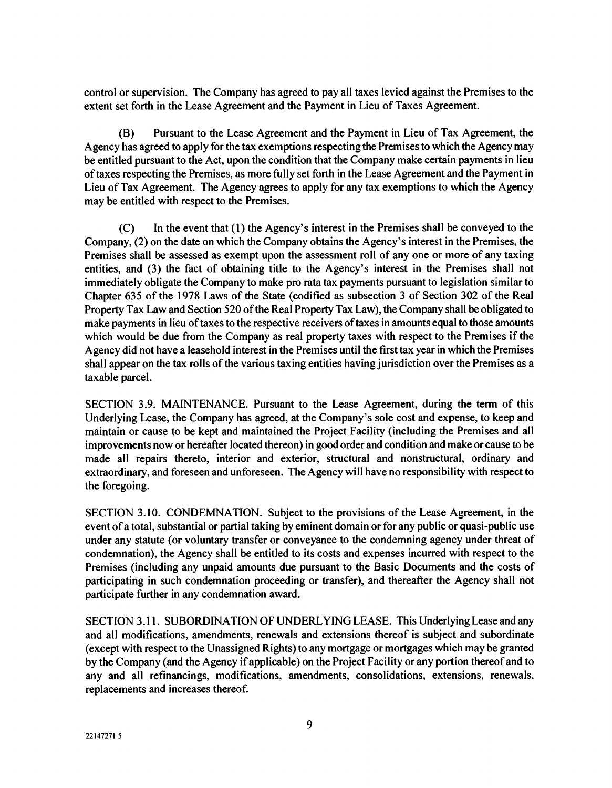control or supervision. The Company has agreed to pay all taxes levied against the Premises to the extent set forth in the Lease Agreement and the Payment in Lieu of Taxes Agreement.

(B) Pursuant to the Lease Agreement and the Payment in Lieu of Tax Agreement, the Agency has agreed to apply for the tax exemptions respecting the Premises to which the Agency may be entitled pursuant to the Act, upon the condition that the Company make certain payments in lieu of taxes respecting the Premises, as more fully set forth in the Lease Agreement and the Payment in Lieu of Tax Agreement. The Agency agrees to apply for any tax exemptions to which the Agency may be entitled with respect to the Premises.

(C) In the event that (1) the Agency's interest in the Premises shall be conveyed to the Company, (2) on the date on which the Company obtains the Agency's interest in the Premises, the Premises shall be assessed as exempt upon the assessment roll of any one or more of any taxing entities, and (3) the fact of obtaining title to the Agency's interest in the Premises shall not immediately obligate the Company to make pro rata tax payments pursuant to legislation similar to Chapter 635 of the 1978 Laws of the State (codified as subsection 3 of Section 302 of the Real Property Tax Law and Section 520 of the Real Property Tax Law), the Company shall be obligated to make payments in lieu of taxes to the respective receivers of taxes in amounts equal to those amounts which would be due from the Company as real property taxes with respect to the Premises if the Agency did not have a leasehold interest in the Premises until the first tax year in which the Premises shall appear on the tax rolls of the various taxing entities having jurisdiction over the Premises as a taxable parcel.

SECTION 3.9. MAINTENANCE. Pursuant to the Lease Agreement, during the term of this Underlying Lease, the Company has agreed, at the Company's sole cost and expense, to keep and maintain or cause to be kept and maintained the Project Facility (including the Premises and all improvements now or hereafter located thereon) in good order and condition and make or cause to be made all repairs thereto, interior and exterior, structural and nonstructural, ordinary and extraordinary, and foreseen and unforeseen. The Agency will have no responsibility with respect to the foregoing.

SECTION 3.10. CONDEMNATION. Subject to the provisions of the Lease Agreement, in the event of a total, substantial or partial taking by eminent domain or for any public or quasi-public use under any statute (or voluntary transfer or conveyance to the condemning agency under threat of condemnation), the Agency shall be entitled to its costs and expenses incurred with respect to the Premises (including any unpaid amounts due pursuant to the Basic Documents and the costs of participating in such condemnation proceeding or transfer), and thereafter the Agency shall not participate further in any condemnation award.

SECTION 3.11. SUBORDINATION OF UNDERLYING LEASE. This Underlying Lease and any and all modifications, amendments, renewals and extensions thereof is subject and subordinate (except with respect to the Unassigned Rights) to any mortgage or mortgages which may be granted by the Company (and the Agency if applicable) on the Project Facility or any portion thereof and to any and all refinancings, modifications, amendments, consolidations, extensions, renewals, replacements and increases thereof.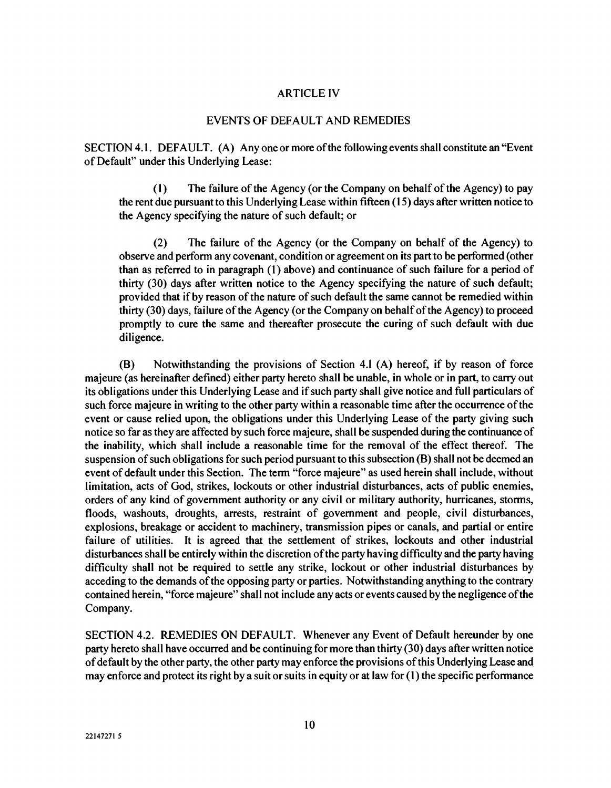#### ARTICLE IV

#### EVENTS OF DEFAULT AND REMEDIES

SECTION 4.1. DEFAULT. (A) Anyone or more of the following events shall constitute an "Event of Default" under this Underlying Lease:

(1) The failure of the Agency (or the Company on behalf of the Agency) to pay the rent due pursuant to this Underlying Lease within fifteen (15) days after written notice to the Agency specifying the nature of such default; or

(2) The failure of the Agency (or the Company on behalf of the Agency) to observe and perform any covenant, condition or agreement on its part to be performed (other than as referred to in paragraph (1) above) and continuance of such failure for a period of thirty (30) days after written notice to the Agency specifying the nature of such default; provided that if by reason of the nature of such default the same cannot be remedied within thirty (30) days, failure of the Agency (or the Company on behalf of the Agency) to proceed promptly to cure the same and thereafter prosecute the curing of such default with due diligence.

(B) Notwithstanding the provisions of Section 4.1 (A) hereof, if by reason of force majeure (as hereinafter defined) either party hereto shall be unable, in whole or in part, to carry out its obligations under this Underlying Lease and if such party shall give notice and full particulars of such force majeure in writing to the other party within a reasonable time after the occurrence of the event or cause relied upon, the obligations under this Underlying Lease of the party giving such notice so far as they are affected by such force majeure, shall be suspended during the continuance of the inability, which shall include a reasonable time for the removal of the effect thereof. The suspension of such obligations for such period pursuant to this subsection (B) shall not be deemed an event of default under this Section. The term "force majeure" as used herein shall include, without limitation, acts of God, strikes, lockouts or other industrial disturbances, acts of public enemies, orders of any kind of government authority or any civil or military authority, hurricanes, storms, floods, washouts, droughts, arrests, restraint of government and people, civil disturbances, explosions, breakage or accident to machinery, transmission pipes or canals, and partial or entire failure of utilities. It is agreed that the settlement of strikes, lockouts and other industrial disturbances shall be entirely within the discretion of the party having difficulty and the party having difficulty shall not be required to settle any strike, lockout or other industrial disturbances by acceding to the demands of the opposing party or parties. Notwithstanding anything to the contrary contained herein, "force majeure" shall not include any acts or events caused by the negligence of the Company.

SECTION 4.2. REMEDIES ON DEFAULT. Whenever any Event of Default hereunder by one party hereto shall have occurred and be continuing for more than thirty (30) days after written notice of default by the other party, the other party may enforce the provisions of this Underlying Lease and may enforce and protect its right by a suit or suits in equity or at law for (1) the specific performance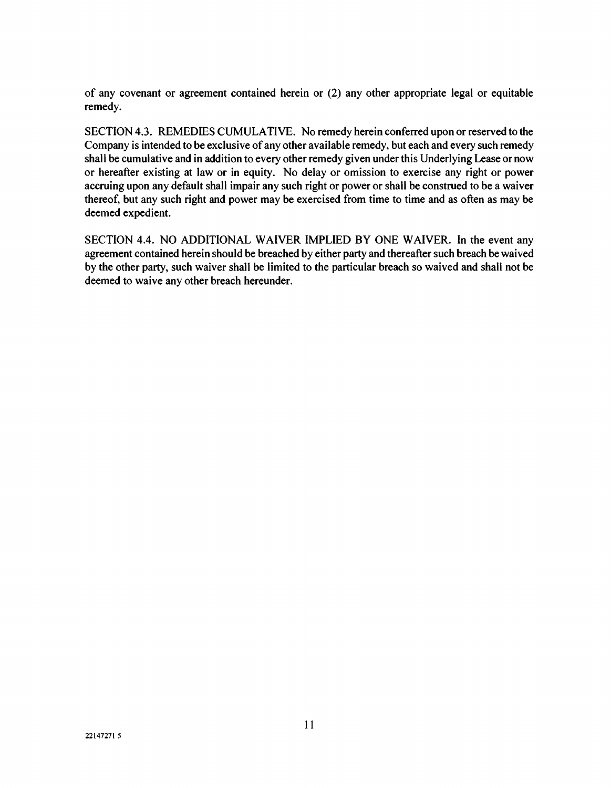of any covenant or agreement contained herein or (2) any other appropriate legal or equitable remedy.

SECTION 4.3. REMEDIES CUMULATIVE. No remedy herein conferred upon or reserved to the Company is intended to be exclusive of any other available remedy, but each and every such remedy shall be cumulative and in addition to every other remedy given under this Underlying Lease or now or hereafter existing at law or in equity. No delay or omission to exercise any right or power accruing upon any default shall impair any such right or power or shall be construed to be a waiver thereof, but any such right and power may be exercised from time to time and as often as may be deemed expedient.

SECTION 4.4. NO ADDITIONAL WAIVER IMPLIED BY ONE WAIVER. In the event any agreement contained herein should be breached by either party and thereafter such breach be waived by the other party, such waiver shall be limited to the particular breach so waived and shall not be deemed to waive any other breach hereunder.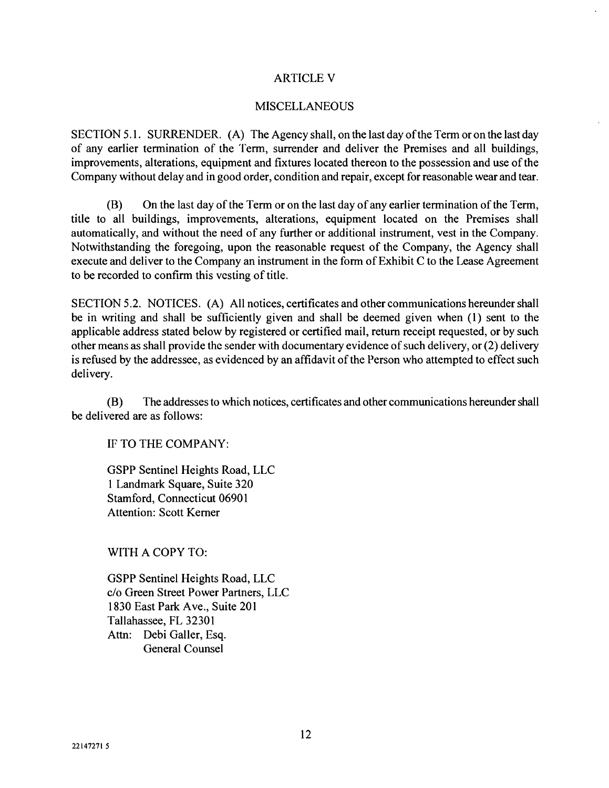### ARTICLE V

#### MISCELLANEOUS

SECTION 5.1. SURRENDER. (A) The Agency shall, on the last day of the Term or on the last day of any earlier termination of the Term, surrender and deliver the Premises and all buildings, improvements, alterations, equipment and fixtures located thereon to the possession and use of the Company without delay and in good order, condition and repair, except for reasonable wear and tear.

(B) On the last day of the Term or on the last day of any earlier termination of the Term, title to all buildings, improvements, alterations, equipment located on the Premises shall automatically, and without the need of any further or additional instrument, vest in the Company. Notwithstanding the foregoing, upon the reasonable request of the Company, the Agency shall execute and deliver to the Company an instrument in the form of Exhibit C to the Lease Agreement to be recorded to confirm this vesting of title.

SECTION 5.2. NOTICES. (A) All notices, certificates and other communications hereunder shall be in writing and shall be sufficiently given and shall be deemed given when (1) sent to the applicable address stated below by registered or certified mail, return receipt requested, or by such other means as shall provide the sender with documentary evidence of such delivery, or (2) delivery is refused by the addressee, as evidenced by an affidavit of the Person who attempted to effect such delivery.

(B) The addresses to which notices, certificates and other communications hereunder shall be delivered are as follows:

IF TO THE COMPANY:

GSPP Sentinel Heights Road, LLC 1 Landmark Square, Suite 320 Stamford, Connecticut 06901 Attention: Scott Kerner

WITH A COPY TO:

GSPP Sentinel Heights Road, LLC c/o Green Street Power Partners, LLC 1830 East Park Ave., Suite 201 Tallahassee, FL 32301 Attn: Debi Galler, Esq. General Counsel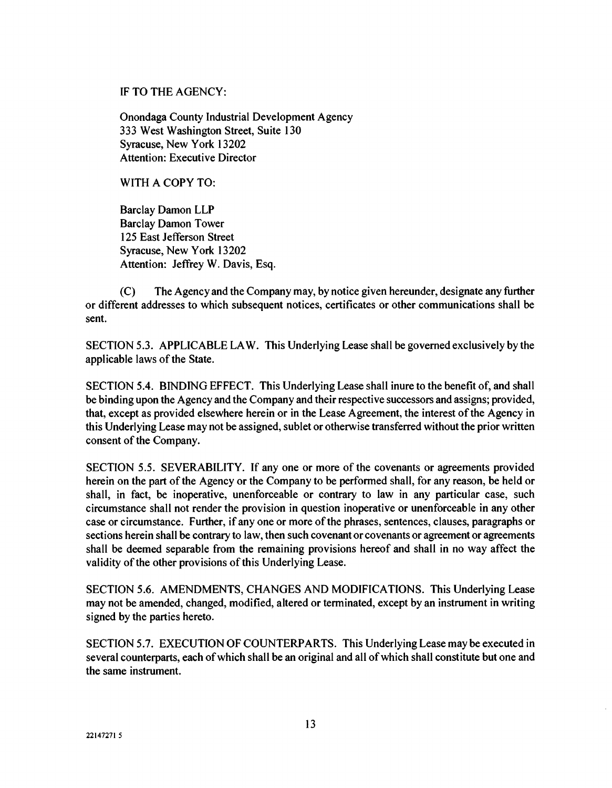### IF TO THE AGENCY:

Onondaga County Industrial Development Agency 333 West Washington Street, Suite 130 Syracuse, New York 13202 Attention: Executive Director

### WITH A COPY TO:

Barclay Damon LLP Barclay Damon Tower 125 East Jefferson Street Syracuse, New York 13202 Attention: Jeffrey W. Davis, Esq.

(C) The Agency and the Company may, by notice given hereunder, designate any further or different addresses to which subsequent notices, certificates or other communications shall be sent.

SECTION 5.3. APPLICABLE LAW. This Underlying Lease shall be governed exclusively by the applicable laws of the State.

SECTION 5.4. BINDING EFFECT. This Underlying Lease shall inure to the benefit of, and shall be binding upon the Agency and the Company and their respective successors and assigns; provided, that, except as provided elsewhere herein or in the Lease Agreement, the interest of the Agency in this Underlying Lease may not be assigned, sublet or otherwise transferred without the prior written consent of the Company.

SECTION 5.5. SEVERABILITY. If any one or more of the covenants or agreements provided herein on the part of the Agency or the Company to be performed shall, for any reason, be held or shall, in fact, be inoperative, unenforceable or contrary to law in any particular case, such circumstance shall not render the provision in question inoperative or unenforceable in any other case or circumstance. Further, if any one or more of the phrases, sentences, clauses, paragraphs or sections herein shall be contrary to law, then such covenant or covenants or agreement or agreements shall be deemed separable from the remaining provisions hereof and shall in no way affect the validity of the other provisions of this Underlying Lease.

SECTION 5.6. AMENDMENTS, CHANGES AND MODIFICATIONS. This Underlying Lease may not be amended, changed, modified, altered or terminated, except by an instrument in writing signed by the parties hereto.

SECTION 5.7. EXECUTION OF COUNTERPARTS. This Underlying Lease may be executed in several counterparts, each of which shall be an original and all of which shall constitute but one and the same instrument.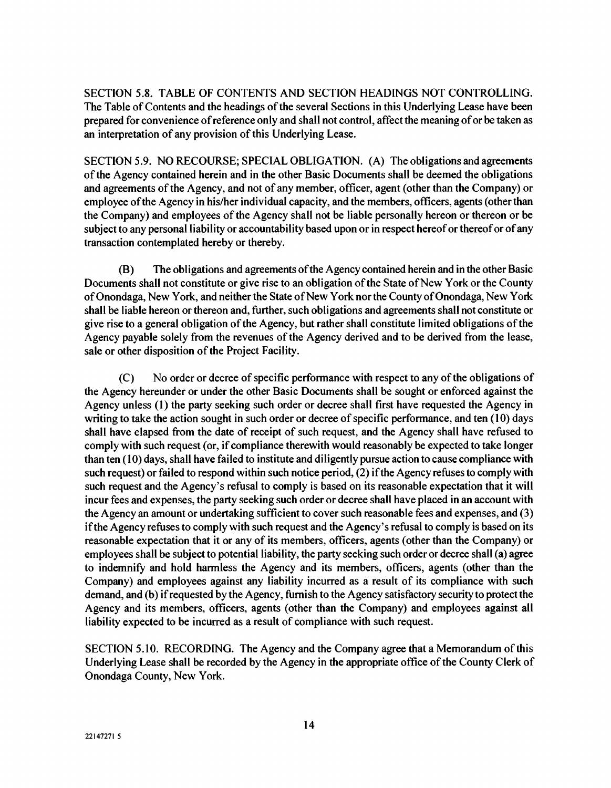SECTION 5.8. TABLE OF CONTENTS AND SECTION HEADINGS NOT CONTROLLING. The Table of Contents and the headings of the several Sections in this Underlying Lease have been prepared for convenience of reference only and shall not control, affect the meaning of or be taken as an interpretation of any provision of this Underlying Lease.

SECTION 5.9. NO RECOURSE; SPECIAL OBLIGATION. (A) The obligations and agreements of the Agency contained herein and in the other Basic Documents shall be deemed the obligations and agreements of the Agency, and not of any member, officer, agent (other than the Company) or employee of the Agency in his/her individual capacity, and the members, officers, agents (other than the Company) and employees of the Agency shall not be liable personally hereon or thereon or be subject to any personal liability or accountability based upon or in respect hereof or thereof or of any transaction contemplated hereby or thereby.

(B) The obligations and agreements of the Agency contained herein and in the other Basic Documents shall not constitute or give rise to an obligation of the State of New York or the County of Onondaga, New York, and neither the State of New York nor the County of Onondaga, New York shall be liable hereon or thereon and, further, such obligations and agreements shall not constitute or give rise to a general obligation of the Agency, but rather shall constitute limited obligations of the Agency payable solely from the revenues of the Agency derived and to be derived from the lease, sale or other disposition of the Project Facility.

(C) No order or decree of specific performance with respect to any of the obligations of the Agency hereunder or under the other Basic Documents shall be sought or enforced against the Agency unless (1) the party seeking such order or decree shall first have requested the Agency in writing to take the action sought in such order or decree of specific performance, and ten (10) days shall have elapsed from the date of receipt of such request, and the Agency shall have refused to comply with such request (or, if compliance therewith would reasonably be expected to take longer than ten (10) days, shall have failed to institute and diligently pursue action to cause compliance with such request) or failed to respond within such notice period, (2) if the Agency refuses to comply with such request and the Agency's refusal to comply is based on its reasonable expectation that it will incur fees and expenses, the party seeking such order or decree shall have placed in an account with the Agency an amount or undertaking sufficient to cover such reasonable fees and expenses, and (3) if the Agency refuses to comply with such request and the Agency's refusal to comply is based on its reasonable expectation that it or any of its members, officers, agents (other than the Company) or employees shall be subject to potential liability, the party seeking such order or decree shall (a) agree to indemnify and hold harmless the Agency and its members, officers, agents (other than the Company) and employees against any liability incurred as a result of its compliance with such demand, and (b) if requested by the Agency, furnish to the Agency satisfactory security to protect the Agency and its members, officers, agents (other than the Company) and employees against all liability expected to be incurred as a result of compliance with such request.

SECTION 5.10. RECORDING. The Agency and the Company agree that a Memorandum of this Underlying Lease shall be recorded by the Agency in the appropriate office of the County Clerk of Onondaga County, New York.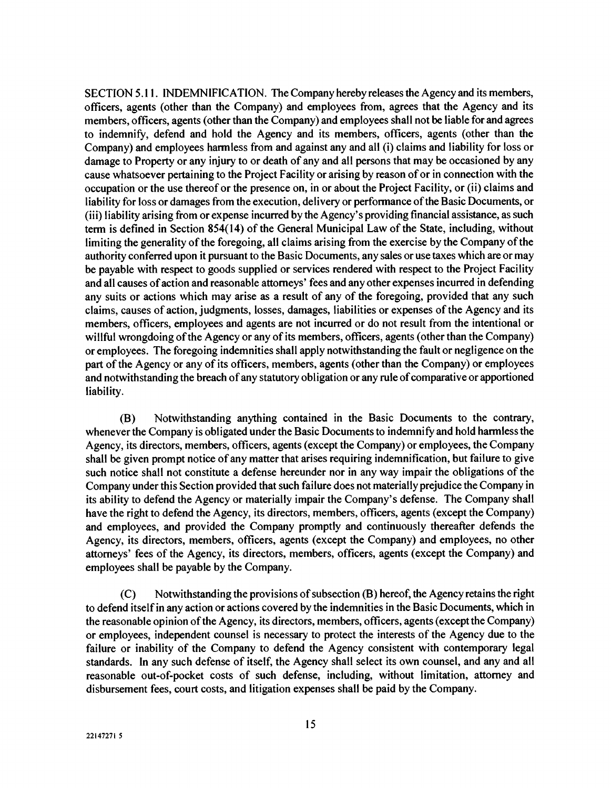SECTION 5.11. INDEMNIFICATION. The Company hereby releases the Agency and its members, officers, agents (other than the Company) and employees from, agrees that the Agency and its members, officers, agents (other than the Company) and employees shall not be liable for and agrees to indemnify, defend and hold the Agency and its members, officers, agents (other than the Company) and employees harmless from and against any and all (i) claims and liability for loss or damage to Property or any injury to or death of any and all persons that may be occasioned by any cause whatsoever pertaining to the Project Facility or arising by reason of or in connection with the occupation or the use thereof or the presence on, in or about the Project Facility, or (ii) claims and liability for loss or damages from the execution, delivery or performance of the Basic Documents, or (iii) liability arising from or expense incurred by the Agency's providing financial assistance, as such term is defined in Section 854(14) of the General Municipal Law of the State, including, without limiting the generality of the foregoing, all claims arising from the exercise by the Company of the authority conferred upon it pursuant to the Basic Documents, any sales or use taxes which are or may be payable with respect to goods supplied or services rendered with respect to the Project Facility and all causes of action and reasonable attorneys' fees and any other expenses incurred in defending any suits or actions which may arise as a result of any of the foregoing, provided that any such claims, causes of action, judgments, losses, damages, liabilities or expenses of the Agency and its members, officers, employees and agents are not incurred or do not result from the intentional or willful wrongdoing of the Agency or any of its members, officers, agents (other than the Company) or employees. The foregoing indemnities shall apply notwithstanding the fault or negligence on the part of the Agency or any of its officers, members, agents (other than the Company) or employees and notwithstanding the breach of any statutory obligation or any rule of comparative or apportioned liability.

(B) Notwithstanding anything contained in the Basic Documents to the contrary, whenever the Company is obligated under the Basic Documents to indemnify and hold harmless the Agency, its directors, members, officers, agents (except the Company) or employees, the Company shall be given prompt notice of any matter that arises requiring indemnification, but failure to give such notice shall not constitute a defense hereunder nor in any way impair the obligations of the Company under this Section provided that such failure does not materially prejudice the Company in its ability to defend the Agency or materially impair the Company's defense. The Company shall have the right to defend the Agency, its directors, members, officers, agents (except the Company) and employees, and provided the Company promptly and continuously thereafter defends the Agency, its directors, members, officers, agents (except the Company) and employees, no other attorneys' fees of the Agency, its directors, members, officers, agents (except the Company) and employees shall be payable by the Company.

(C) Notwithstanding the provisions of subsection (B) hereof, the Agency retains the right to defend itself in any action or actions covered by the indemnities in the Basic Documents, which in the reasonable opinion of the Agency, its directors, members, officers, agents (except the Company) or employees, independent counsel is necessary to protect the interests of the Agency due to the failure or inability of the Company to defend the Agency consistent with contemporary legal standards. In any such defense of itself, the Agency shall select its own counsel, and any and all reasonable out-of-pocket costs of such defense, including, without limitation, attorney and disbursement fees, court costs, and litigation expenses shall be paid by the Company.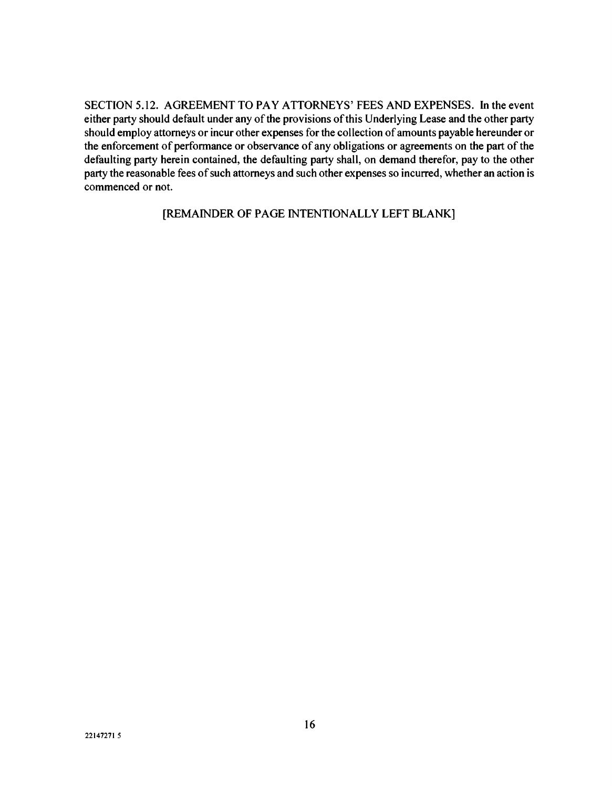SECTION 5.12. AGREEMENT TO PAY ATTORNEYS' FEES AND EXPENSES. In the event either party should default under any of the provisions of this Underlying Lease and the other party should employ attorneys or incur other expenses for the collection of amounts payable hereunder or the enforcement of performance or observance of any obligations or agreements on the part of the defaulting party herein contained, the defaulting party shall, on demand therefor, pay to the other party the reasonable fees of such attorneys and such other expenses so incurred, whether an action is commenced or not.

[REMAINDER OF PAGE INTENTIONALLY LEFT BLANK]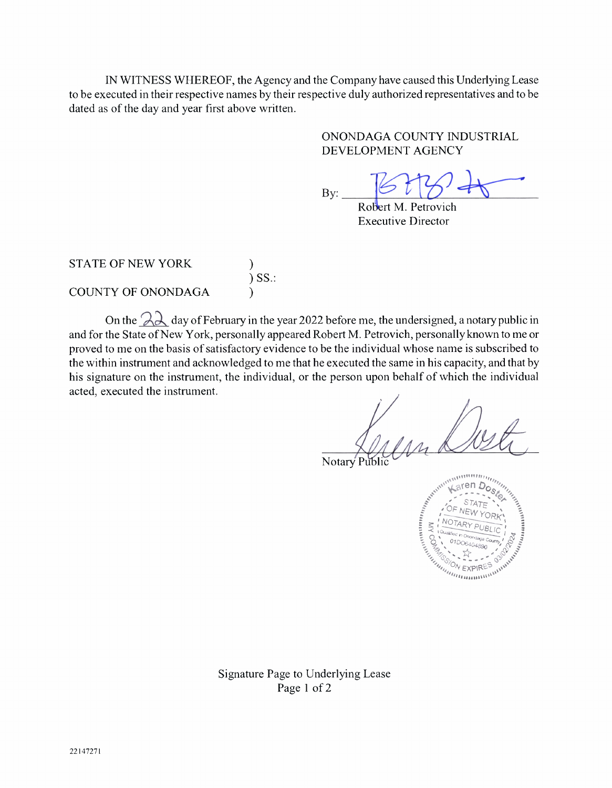IN WITNESS WHEREOF, the Agency and the Company have caused this Underlying Lease to be executed in their respective names by their respective duly authorized representatives and to be dated as of the day and year first above written.

> ONONDAGA COUNTY INDUSTRIAL DEVELOPMENT AGENCY

By:

Robert M. Petrovich Executive Director

STATE OF NEW YORK

)  $J$ .  $D$ ... )

COUNTY OF ONONDAGA

On the  $2\lambda$  day of February in the year 2022 before me, the undersigned, a notary public in and for the State of New York, personally appeared Robert M. Petrovich, personally known to me or proved to me on the basis of satisfactory evidence to be the individual whose name is subscribed to the within instrument and acknowledged to me that he executed the same in his capacity, and that by his signature on the instrument, the individual, or the person upon behalf of which the individual acted, executed the instrument.

Notary



Signature Page to Underlying Lease Page 1 of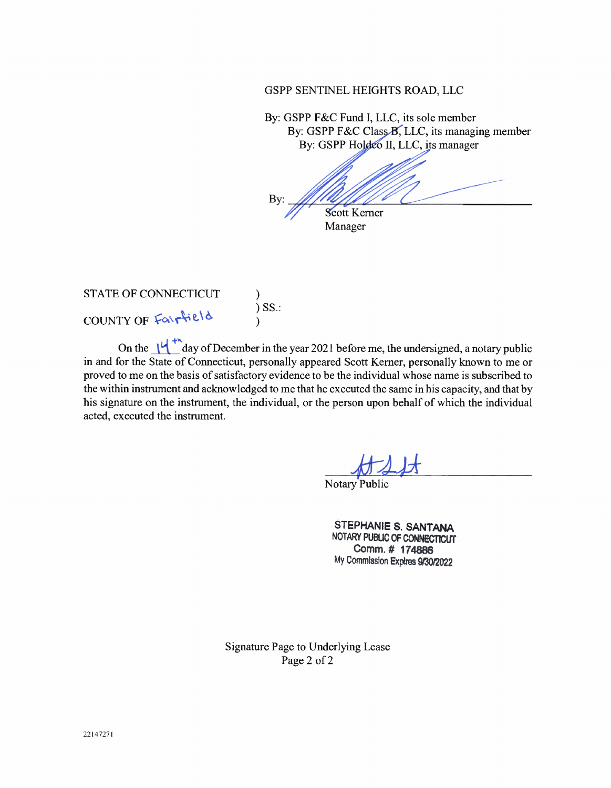#### GSPP SENTINEL HEIGHTS ROAD, LLC

By: GSPP F&C Fund I, LLC, its sole member By: GSPP F&C Class B, LLC, its managing member By: GSPP Holdeo II, LLC, its manager

By: Scott Kerner

Manager

#### STATE OF CONNECTICUT COUNTY OF Fairfield )  $J$   $\cup$   $\cup$   $\ldots$ )

On the  $\frac{1}{4}$  day of December in the year 2021 before me, the undersigned, a notary public in and for the State of Connecticut, personally appeared Scott Kerner, personally known to me or proved to me on the basis of satisfactory evidence to be the individual whose name is subscribed to the within instrument and acknowledged to me that he executed the same in his capacity, and that by his signature on the instrument, the individual, or the person upon behalf of which the individual acted, executed the instrument.

Notary Public

STEPHANIE S. SANTANA NOTARY PUBLIC OF CONNECTICUT Comm.# 174888 My Commission Expires 9/30/2022

Signature Page to Underlying Lease Page 2 of 2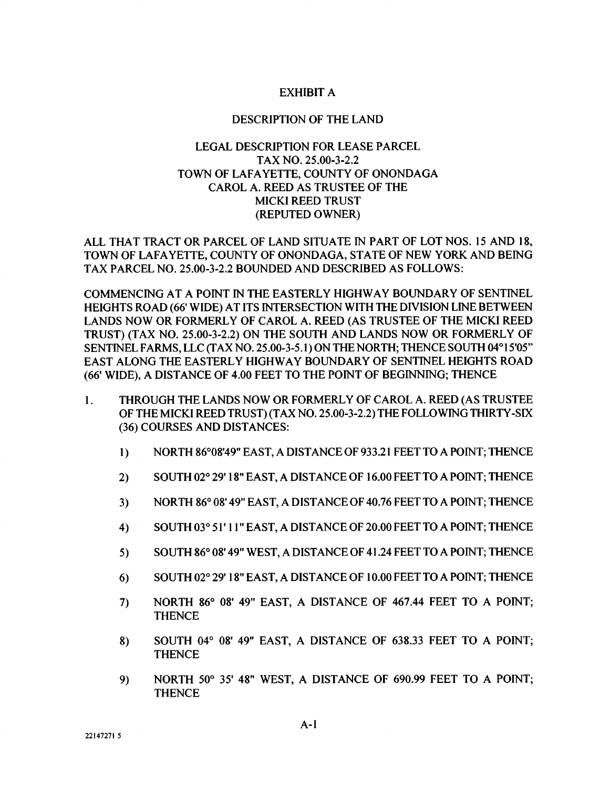### EXHIBIT A

#### DESCRIPTION OF THE LAND

### LEGAL DESCRIPTION FOR LEASE PARCEL TAX NO. 25.00-3-2.2 TOWN OF LAFAYETTE, COUNTY OF ONONDAGA CAROL A. REED AS TRUSTEE OF THE MICKI REED TRUST (REPUTED OWNER)

ALL THAT TRACT OR PARCEL OF LAND SITUATE IN PART OF LOT NOS. 15 AND 18, TOWN OF LAFAYETTE, COUNTY OF ONONDAGA, STATE OF NEW YORK AND BEING TAX PARCEL NO. 25.00-3-2.2 BOUNDED AND DESCRIBED AS FOLLOWS:

COMMENCING AT A POINT IN THE EASTERLY HIGHWAY BOUNDARY OF SENTINEL HEIGHTS ROAD (66' WIDE) AT ITS INTERSECTION WITH THE DIVISION LINE BETWEEN LANDS NOW OR FORMERLY OF CAROL A. REED (AS TRUSTEE OF THE MICKI REED TRUST) (TAX NO. 25.00-3-2.2) ON THE SOUTH AND LANDS NOW OR FORMERLY OF SENTINEL FARMS, LLC (TAX NO. 25.00-3-5.1) ON THE NORTH; THENCE SOUTH 04°15'05" EAST ALONG THE EASTERLY HIGHWAY BOUNDARY OF SENTINEL HEIGHTS ROAD (66' WIDE), A DISTANCE OF 4.00 FEET TO THE POINT OF BEGINNING; THENCE

- 1. THROUGH THE LANDS NOW OR FORMERLY OF CAROL A. REED (AS TRUSTEE OF THE MICKI REED TRUST) (TAX NO. 25.00-3-2.2) THE FOLLOWING THIRTY-SIX (36) COURSES AND DISTANCES:
	- 1) NORTH 86°08'49" EAST, A DISTANCE OF 933.21 FEET TO A POINT; THENCE
	- 2) SOUTH 02° 29'18" EAST, A DISTANCE OF 16.00 FEET TO A POINT; THENCE
	- 3) NORTH 86° 08'49" EAST, A DISTANCE OF 40.76 FEET TO A POINT; THENCE
	- 4) SOUTH 03° 51' 11" EAST, A DISTANCE OF 20.00 FEET TO A POINT; THENCE
	- 5) SOUTH 86° 08'49" WEST, A DISTANCE OF 41.24 FEET TO A POINT; THENCE
	- 6) SOUTH 02° 29'18" EAST, A DISTANCE OF 10.00 FEET TO A POINT; THENCE
	- 7) NORTH 86° 08' 49" EAST, A DISTANCE OF 467.44 FEET TO A POINT; **THENCE**
	- 8) SOUTH 04° 08' 49" EAST, A DISTANCE OF 638.33 FEET TO A POINT; **THENCE**
	- 9) NORTH 50° 35' 48" WEST, A DISTANCE OF 690.99 FEET TO A POINT; **THENCE**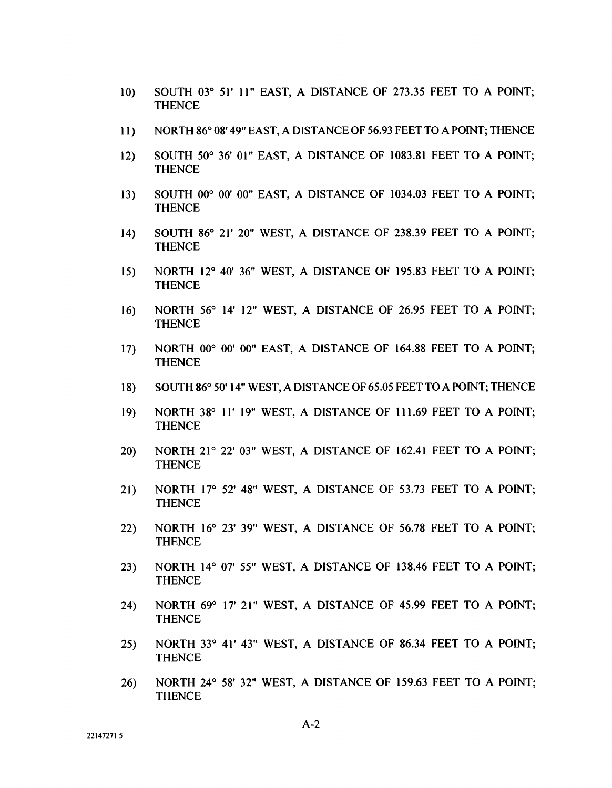- 10) SOUTH 03° 51' 11" EAST, A DISTANCE OF 273.35 FEET TO A POINT; **THENCE**
- 11) NORTH 86° 08'49" EAST, A DISTANCE OF 56.93 FEET TO A POINT; THENCE
- 12) SOUTH 50° 36' 01" EAST, A DISTANCE OF 1083.81 FEET TO A POINT; **THENCE**
- 13) SOUTH 00° 00' 00" EAST, A DISTANCE OF 1034.03 FEET TO A POINT; **THENCE**
- 14) SOUTH 86° 21' 20" WEST, A DISTANCE OF 238.39 FEET TO A POINT; **THENCE**
- 15) NORTH 12° 40' 36" WEST, A DISTANCE OF 195.83 FEET TO A POINT; **THENCE**
- 16) NORTH 56° 14' 12" WEST, A DISTANCE OF 26.95 FEET TO A POINT; **THENCE**
- 17) NORTH 00° 00' 00" EAST, A DISTANCE OF 164.88 FEET TO A POINT; **THENCE**
- 18) SOUTH 86° 50'14" WEST, A DISTANCE OF 65.05 FEET TO A POINT; THENCE
- 19) NORTH 38° 11'19" WEST, A DISTANCE OF 111.69 FEET TO A POINT; **THENCE**
- 20) NORTH 21° 22' 03" WEST, A DISTANCE OF 162.41 FEET TO A POINT; THENCE
- 21) NORTH 17° 52' 48" WEST, A DISTANCE OF 53.73 FEET TO A POINT; **THENCE**
- 22) NORTH 16° 23' 39" WEST, A DISTANCE OF 56.78 FEET TO A POINT; **THENCE**
- 23) NORTH 14° 07' 55" WEST, A DISTANCE OF 138.46 FEET TO A POINT; **THENCE**
- 24) NORTH 69° 17' 21" WEST, A DISTANCE OF 45.99 FEET TO A POINT; **THENCE**
- 25) NORTH 33° 41' 43" WEST, A DISTANCE OF 86.34 FEET TO A POINT; **THENCE**
- 26) NORTH 24° 58' 32" WEST, A DISTANCE OF 159.63 FEET TO A POINT; **THENCE**